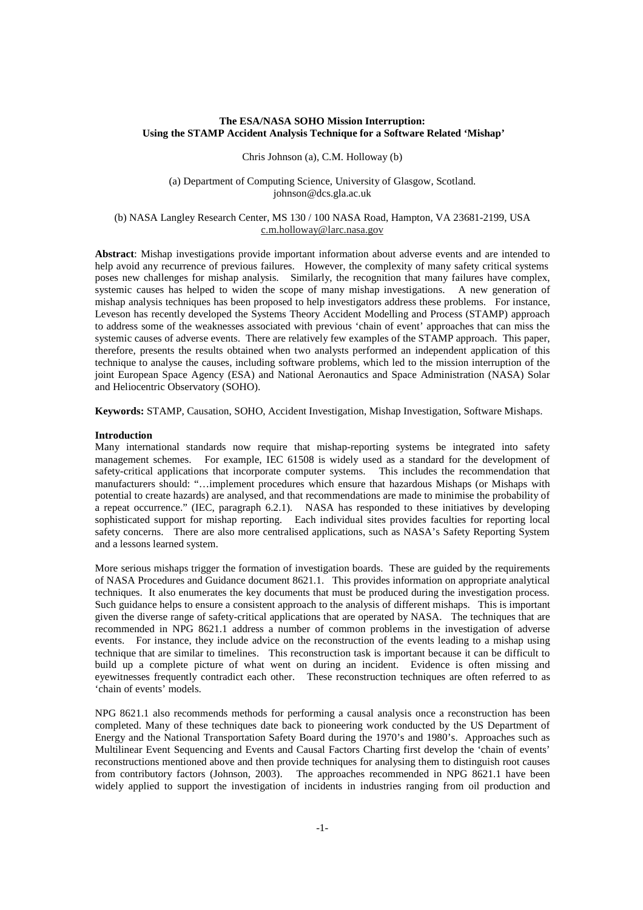# **The ESA/NASA SOHO Mission Interruption: Using the STAMP Accident Analysis Technique for a Software Related 'Mishap'**

Chris Johnson (a), C.M. Holloway (b)

#### (a) Department of Computing Science, University of Glasgow, Scotland. johnson@dcs.gla.ac.uk

# (b) NASA Langley Research Center, MS 130 / 100 NASA Road, Hampton, VA 23681-2199, USA c.m.holloway@larc.nasa.gov

**Abstract**: Mishap investigations provide important information about adverse events and are intended to help avoid any recurrence of previous failures. However, the complexity of many safety critical systems poses new challenges for mishap analysis. Similarly, the recognition that many failures have complex, systemic causes has helped to widen the scope of many mishap investigations. A new generation of mishap analysis techniques has been proposed to help investigators address these problems. For instance, Leveson has recently developed the Systems Theory Accident Modelling and Process (STAMP) approach to address some of the weaknesses associated with previous 'chain of event' approaches that can miss the systemic causes of adverse events. There are relatively few examples of the STAMP approach. This paper, therefore, presents the results obtained when two analysts performed an independent application of this technique to analyse the causes, including software problems, which led to the mission interruption of the joint European Space Agency (ESA) and National Aeronautics and Space Administration (NASA) Solar and Heliocentric Observatory (SOHO).

**Keywords:** STAMP, Causation, SOHO, Accident Investigation, Mishap Investigation, Software Mishaps.

### **Introduction**

Many international standards now require that mishap-reporting systems be integrated into safety management schemes. For example, IEC 61508 is widely used as a standard for the development of safety-critical applications that incorporate computer systems. This includes the recommendation that manufacturers should: "…implement procedures which ensure that hazardous Mishaps (or Mishaps with potential to create hazards) are analysed, and that recommendations are made to minimise the probability of a repeat occurrence." (IEC, paragraph 6.2.1). NASA has responded to these initiatives by developing sophisticated support for mishap reporting. Each individual sites provides faculties for reporting local safety concerns. There are also more centralised applications, such as NASA's Safety Reporting System and a lessons learned system.

More serious mishaps trigger the formation of investigation boards. These are guided by the requirements of NASA Procedures and Guidance document 8621.1. This provides information on appropriate analytical techniques. It also enumerates the key documents that must be produced during the investigation process. Such guidance helps to ensure a consistent approach to the analysis of different mishaps. This is important given the diverse range of safety-critical applications that are operated by NASA. The techniques that are recommended in NPG 8621.1 address a number of common problems in the investigation of adverse events. For instance, they include advice on the reconstruction of the events leading to a mishap using technique that are similar to timelines. This reconstruction task is important because it can be difficult to build up a complete picture of what went on during an incident. Evidence is often missing and eyewitnesses frequently contradict each other. These reconstruction techniques are often referred to as 'chain of events' models.

NPG 8621.1 also recommends methods for performing a causal analysis once a reconstruction has been completed. Many of these techniques date back to pioneering work conducted by the US Department of Energy and the National Transportation Safety Board during the 1970's and 1980's. Approaches such as Multilinear Event Sequencing and Events and Causal Factors Charting first develop the 'chain of events' reconstructions mentioned above and then provide techniques for analysing them to distinguish root causes from contributory factors (Johnson, 2003). The approaches recommended in NPG 8621.1 have been widely applied to support the investigation of incidents in industries ranging from oil production and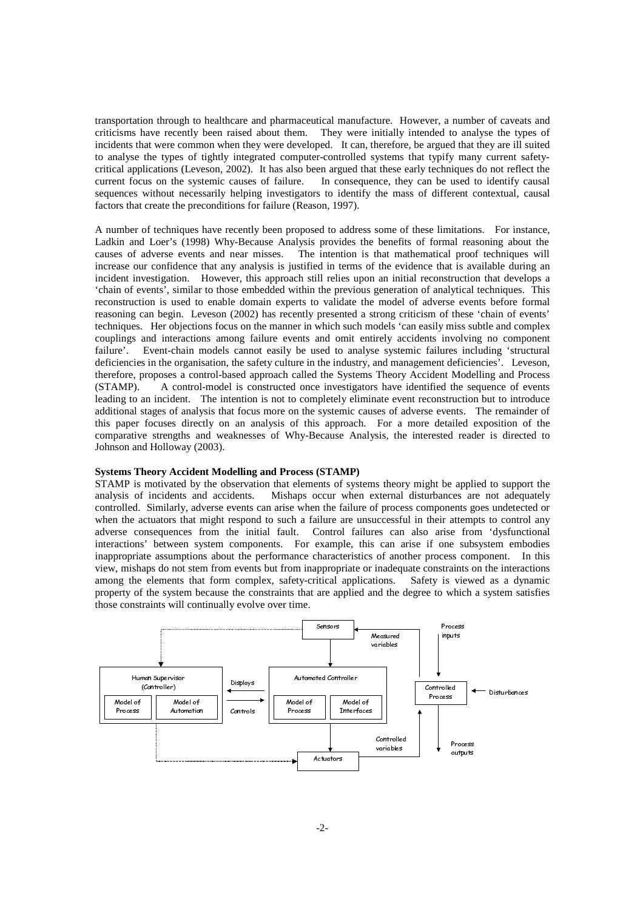transportation through to healthcare and pharmaceutical manufacture. However, a number of caveats and criticisms have recently been raised about them. They were initially intended to analyse the types of incidents that were common when they were developed. It can, therefore, be argued that they are ill suited to analyse the types of tightly integrated computer-controlled systems that typify many current safetycritical applications (Leveson, 2002). It has also been argued that these early techniques do not reflect the current focus on the systemic causes of failure. In consequence, they can be used to identify causal sequences without necessarily helping investigators to identify the mass of different contextual, causal factors that create the preconditions for failure (Reason, 1997).

A number of techniques have recently been proposed to address some of these limitations. For instance, Ladkin and Loer's (1998) Why-Because Analysis provides the benefits of formal reasoning about the causes of adverse events and near misses. The intention is that mathematical proof techniques will increase our confidence that any analysis is justified in terms of the evidence that is available during an incident investigation. However, this approach still relies upon an initial reconstruction that develops a 'chain of events', similar to those embedded within the previous generation of analytical techniques. This reconstruction is used to enable domain experts to validate the model of adverse events before formal reasoning can begin. Leveson (2002) has recently presented a strong criticism of these 'chain of events' techniques. Her objections focus on the manner in which such models 'can easily miss subtle and complex couplings and interactions among failure events and omit entirely accidents involving no component failure'. Event-chain models cannot easily be used to analyse systemic failures including 'structural deficiencies in the organisation, the safety culture in the industry, and management deficiencies'. Leveson, therefore, proposes a control-based approach called the Systems Theory Accident Modelling and Process (STAMP). A control-model is constructed once investigators have identified the sequence of events leading to an incident. The intention is not to completely eliminate event reconstruction but to introduce additional stages of analysis that focus more on the systemic causes of adverse events. The remainder of this paper focuses directly on an analysis of this approach. For a more detailed exposition of the comparative strengths and weaknesses of Why-Because Analysis, the interested reader is directed to Johnson and Holloway (2003).

## **Systems Theory Accident Modelling and Process (STAMP)**

STAMP is motivated by the observation that elements of systems theory might be applied to support the analysis of incidents and accidents. Mishaps occur when external disturbances are not adequately controlled. Similarly, adverse events can arise when the failure of process components goes undetected or when the actuators that might respond to such a failure are unsuccessful in their attempts to control any adverse consequences from the initial fault. Control failures can also arise from 'dysfunctional interactions' between system components. For example, this can arise if one subsystem embodies inappropriate assumptions about the performance characteristics of another process component. In this view, mishaps do not stem from events but from inappropriate or inadequate constraints on the interactions among the elements that form complex, safety-critical applications. Safety is viewed as a dynamic property of the system because the constraints that are applied and the degree to which a system satisfies those constraints will continually evolve over time.

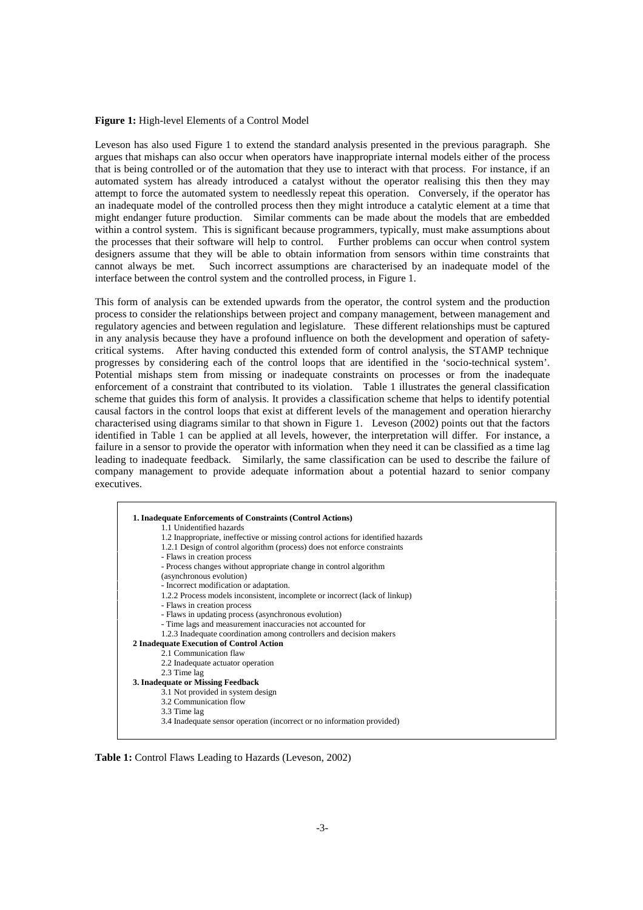#### **Figure 1:** High-level Elements of a Control Model

Leveson has also used Figure 1 to extend the standard analysis presented in the previous paragraph. She argues that mishaps can also occur when operators have inappropriate internal models either of the process that is being controlled or of the automation that they use to interact with that process. For instance, if an automated system has already introduced a catalyst without the operator realising this then they may attempt to force the automated system to needlessly repeat this operation. Conversely, if the operator has an inadequate model of the controlled process then they might introduce a catalytic element at a time that might endanger future production. Similar comments can be made about the models that are embedded within a control system. This is significant because programmers, typically, must make assumptions about the processes that their software will help to control. Further problems can occur when control system designers assume that they will be able to obtain information from sensors within time constraints that cannot always be met. Such incorrect assumptions are characterised by an inadequate model of the interface between the control system and the controlled process, in Figure 1.

This form of analysis can be extended upwards from the operator, the control system and the production process to consider the relationships between project and company management, between management and regulatory agencies and between regulation and legislature. These different relationships must be captured in any analysis because they have a profound influence on both the development and operation of safetycritical systems. After having conducted this extended form of control analysis, the STAMP technique progresses by considering each of the control loops that are identified in the 'socio-technical system'. Potential mishaps stem from missing or inadequate constraints on processes or from the inadequate enforcement of a constraint that contributed to its violation. Table 1 illustrates the general classification scheme that guides this form of analysis. It provides a classification scheme that helps to identify potential causal factors in the control loops that exist at different levels of the management and operation hierarchy characterised using diagrams similar to that shown in Figure 1. Leveson (2002) points out that the factors identified in Table 1 can be applied at all levels, however, the interpretation will differ. For instance, a failure in a sensor to provide the operator with information when they need it can be classified as a time lag leading to inadequate feedback. Similarly, the same classification can be used to describe the failure of company management to provide adequate information about a potential hazard to senior company executives.

| 1.1 Unidentified hazards                                                         |  |
|----------------------------------------------------------------------------------|--|
| 1.2 Inappropriate, ineffective or missing control actions for identified hazards |  |
| 1.2.1 Design of control algorithm (process) does not enforce constraints         |  |
| - Flaws in creation process                                                      |  |
| - Process changes without appropriate change in control algorithm                |  |
| (asynchronous evolution)                                                         |  |
| - Incorrect modification or adaptation.                                          |  |
| 1.2.2 Process models inconsistent, incomplete or incorrect (lack of linkup)      |  |
| - Flaws in creation process                                                      |  |
| - Flaws in updating process (asynchronous evolution)                             |  |
| - Time lags and measurement inaccuracies not accounted for                       |  |
| 1.2.3 Inadequate coordination among controllers and decision makers              |  |
| 2 Inadequate Execution of Control Action                                         |  |
| 2.1 Communication flaw                                                           |  |
| 2.2 Inadequate actuator operation                                                |  |
| 2.3 Time lag                                                                     |  |
| 3. Inadequate or Missing Feedback                                                |  |
| 3.1 Not provided in system design                                                |  |
| 3.2 Communication flow                                                           |  |
| 3.3 Time lag                                                                     |  |
| 3.4 Inadequate sensor operation (incorrect or no information provided)           |  |
|                                                                                  |  |

**Table 1:** Control Flaws Leading to Hazards (Leveson, 2002)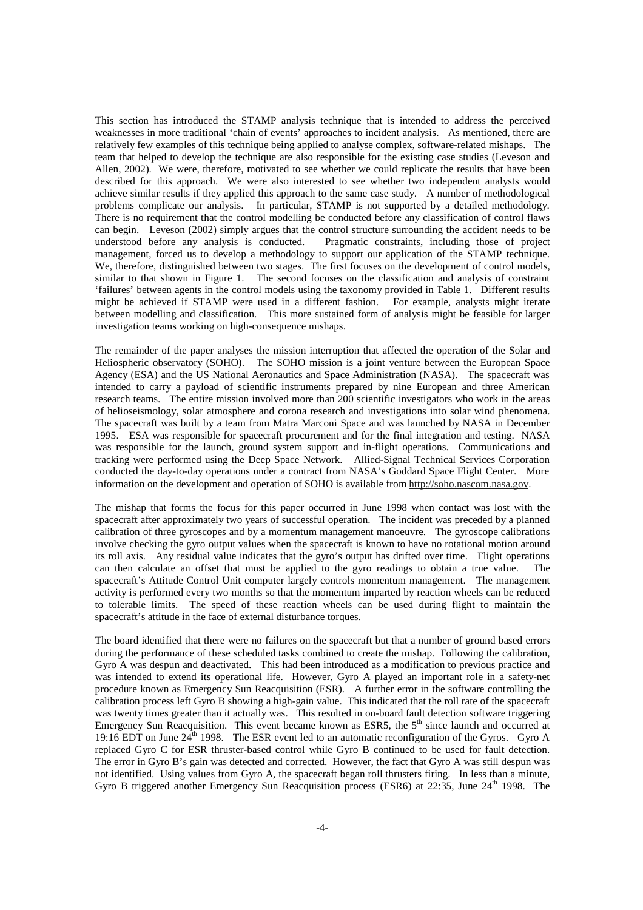This section has introduced the STAMP analysis technique that is intended to address the perceived weaknesses in more traditional 'chain of events' approaches to incident analysis. As mentioned, there are relatively few examples of this technique being applied to analyse complex, software-related mishaps. The team that helped to develop the technique are also responsible for the existing case studies (Leveson and Allen, 2002). We were, therefore, motivated to see whether we could replicate the results that have been described for this approach. We were also interested to see whether two independent analysts would achieve similar results if they applied this approach to the same case study. A number of methodological problems complicate our analysis. In particular, STAMP is not supported by a detailed methodology. There is no requirement that the control modelling be conducted before any classification of control flaws can begin. Leveson (2002) simply argues that the control structure surrounding the accident needs to be understood before any analysis is conducted. Pragmatic constraints, including those of project management, forced us to develop a methodology to support our application of the STAMP technique. We, therefore, distinguished between two stages. The first focuses on the development of control models, similar to that shown in Figure 1. The second focuses on the classification and analysis of constraint 'failures' between agents in the control models using the taxonomy provided in Table 1. Different results might be achieved if STAMP were used in a different fashion. For example, analysts might iterate between modelling and classification. This more sustained form of analysis might be feasible for larger investigation teams working on high-consequence mishaps.

The remainder of the paper analyses the mission interruption that affected the operation of the Solar and Heliospheric observatory (SOHO). The SOHO mission is a joint venture between the European Space Agency (ESA) and the US National Aeronautics and Space Administration (NASA). The spacecraft was intended to carry a payload of scientific instruments prepared by nine European and three American research teams. The entire mission involved more than 200 scientific investigators who work in the areas of helioseismology, solar atmosphere and corona research and investigations into solar wind phenomena. The spacecraft was built by a team from Matra Marconi Space and was launched by NASA in December 1995. ESA was responsible for spacecraft procurement and for the final integration and testing. NASA was responsible for the launch, ground system support and in-flight operations. Communications and tracking were performed using the Deep Space Network. Allied-Signal Technical Services Corporation conducted the day-to-day operations under a contract from NASA's Goddard Space Flight Center. More information on the development and operation of SOHO is available from http://soho.nascom.nasa.gov.

The mishap that forms the focus for this paper occurred in June 1998 when contact was lost with the spacecraft after approximately two years of successful operation. The incident was preceded by a planned calibration of three gyroscopes and by a momentum management manoeuvre. The gyroscope calibrations involve checking the gyro output values when the spacecraft is known to have no rotational motion around its roll axis. Any residual value indicates that the gyro's output has drifted over time. Flight operations can then calculate an offset that must be applied to the gyro readings to obtain a true value. The spacecraft's Attitude Control Unit computer largely controls momentum management. The management activity is performed every two months so that the momentum imparted by reaction wheels can be reduced to tolerable limits. The speed of these reaction wheels can be used during flight to maintain the spacecraft's attitude in the face of external disturbance torques.

The board identified that there were no failures on the spacecraft but that a number of ground based errors during the performance of these scheduled tasks combined to create the mishap. Following the calibration, Gyro A was despun and deactivated. This had been introduced as a modification to previous practice and was intended to extend its operational life. However, Gyro A played an important role in a safety-net procedure known as Emergency Sun Reacquisition (ESR). A further error in the software controlling the calibration process left Gyro B showing a high-gain value. This indicated that the roll rate of the spacecraft was twenty times greater than it actually was. This resulted in on-board fault detection software triggering Emergency Sun Reacquisition. This event became known as ESR5, the  $5<sup>th</sup>$  since launch and occurred at 19:16 EDT on June  $24<sup>th</sup>$  1998. The ESR event led to an automatic reconfiguration of the Gyros. Gyro A replaced Gyro C for ESR thruster-based control while Gyro B continued to be used for fault detection. The error in Gyro B's gain was detected and corrected. However, the fact that Gyro A was still despun was not identified. Using values from Gyro A, the spacecraft began roll thrusters firing. In less than a minute, Gyro B triggered another Emergency Sun Reacquisition process (ESR6) at 22:35, June  $24<sup>th</sup>$  1998. The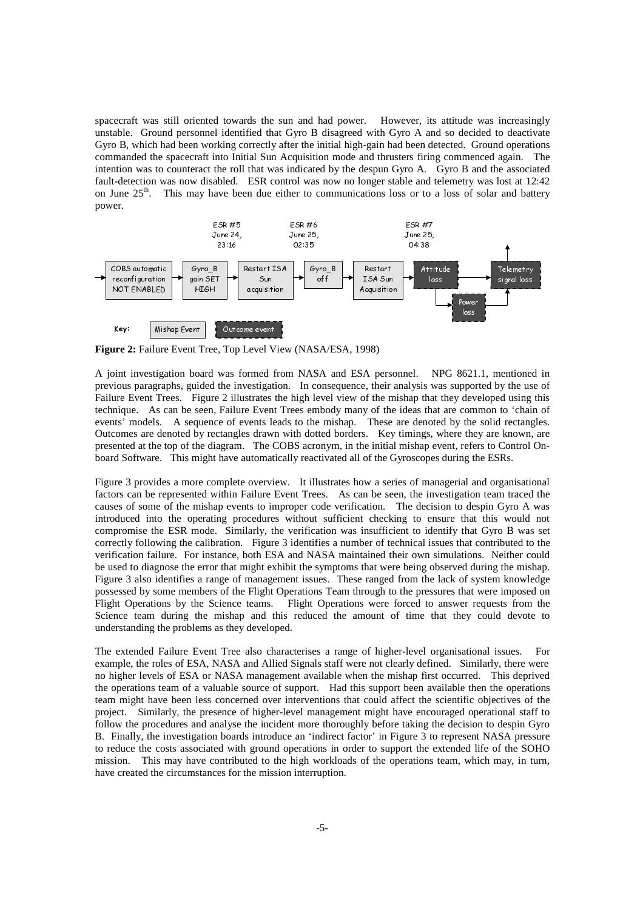spacecraft was still oriented towards the sun and had power. However, its attitude was increasingly unstable. Ground personnel identified that Gyro B disagreed with Gyro A and so decided to deactivate Gyro B, which had been working correctly after the initial high-gain had been detected. Ground operations commanded the spacecraft into Initial Sun Acquisition mode and thrusters firing commenced again. The intention was to counteract the roll that was indicated by the despun Gyro A. Gyro B and the associated fault-detection was now disabled. ESR control was now no longer stable and telemetry was lost at 12:42 on June  $25<sup>th</sup>$ . This may have been due either to communications loss or to a loss of solar and battery power.



**Figure 2:** Failure Event Tree, Top Level View (NASA/ESA, 1998)

A joint investigation board was formed from NASA and ESA personnel. NPG 8621.1, mentioned in previous paragraphs, guided the investigation. In consequence, their analysis was supported by the use of Failure Event Trees. Figure 2 illustrates the high level view of the mishap that they developed using this technique. As can be seen, Failure Event Trees embody many of the ideas that are common to 'chain of events<sup>'</sup> models. A sequence of events leads to the mishap. These are denoted by the solid rectangles. Outcomes are denoted by rectangles drawn with dotted borders. Key timings, where they are known, are presented at the top of the diagram. The COBS acronym, in the initial mishap event, refers to Control Onboard Software. This might have automatically reactivated all of the Gyroscopes during the ESRs.

Figure 3 provides a more complete overview. It illustrates how a series of managerial and organisational factors can be represented within Failure Event Trees. As can be seen, the investigation team traced the causes of some of the mishap events to improper code verification. The decision to despin Gyro A was introduced into the operating procedures without sufficient checking to ensure that this would not compromise the ESR mode. Similarly, the verification was insufficient to identify that Gyro B was set correctly following the calibration. Figure 3 identifies a number of technical issues that contributed to the verification failure. For instance, both ESA and NASA maintained their own simulations. Neither could be used to diagnose the error that might exhibit the symptoms that were being observed during the mishap. Figure 3 also identifies a range of management issues. These ranged from the lack of system knowledge possessed by some members of the Flight Operations Team through to the pressures that were imposed on Flight Operations by the Science teams. Flight Operations were forced to answer requests from the Science team during the mishap and this reduced the amount of time that they could devote to understanding the problems as they developed.

The extended Failure Event Tree also characterises a range of higher-level organisational issues. For example, the roles of ESA, NASA and Allied Signals staff were not clearly defined. Similarly, there were no higher levels of ESA or NASA management available when the mishap first occurred. This deprived the operations team of a valuable source of support. Had this support been available then the operations team might have been less concerned over interventions that could affect the scientific objectives of the project. Similarly, the presence of higher-level management might have encouraged operational staff to follow the procedures and analyse the incident more thoroughly before taking the decision to despin Gyro B. Finally, the investigation boards introduce an 'indirect factor' in Figure 3 to represent NASA pressure to reduce the costs associated with ground operations in order to support the extended life of the SOHO mission. This may have contributed to the high workloads of the operations team, which may, in turn, have created the circumstances for the mission interruption.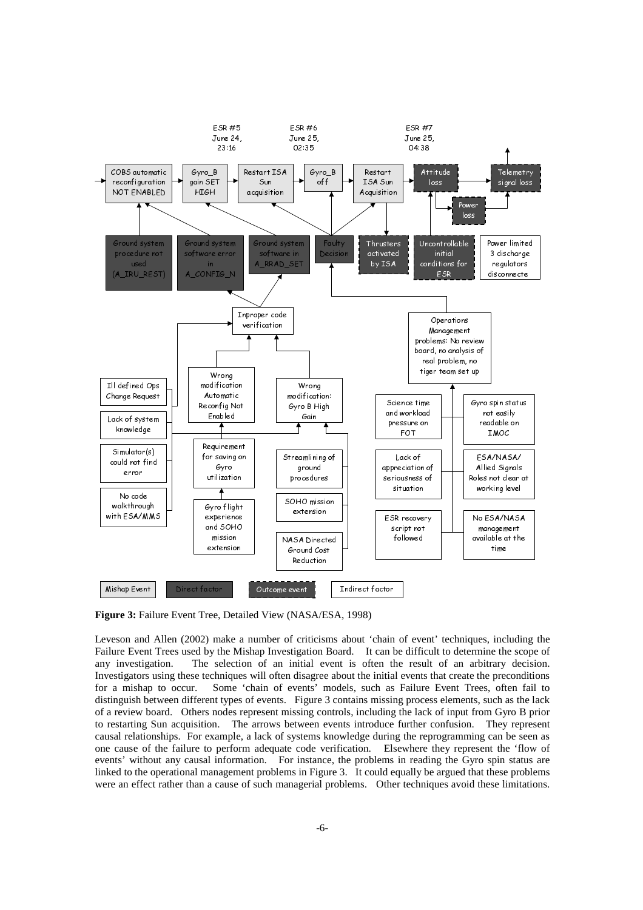

**Figure 3:** Failure Event Tree, Detailed View (NASA/ESA, 1998)

Leveson and Allen (2002) make a number of criticisms about 'chain of event' techniques, including the Failure Event Trees used by the Mishap Investigation Board. It can be difficult to determine the scope of any investigation. The selection of an initial event is often the result of an arbitrary decision. Investigators using these techniques will often disagree about the initial events that create the preconditions for a mishap to occur. Some 'chain of events' models, such as Failure Event Trees, often fail to distinguish between different types of events. Figure 3 contains missing process elements, such as the lack of a review board. Others nodes represent missing controls, including the lack of input from Gyro B prior to restarting Sun acquisition. The arrows between events introduce further confusion. They represent causal relationships. For example, a lack of systems knowledge during the reprogramming can be seen as one cause of the failure to perform adequate code verification. Elsewhere they represent the 'flow of events' without any causal information. For instance, the problems in reading the Gyro spin status are linked to the operational management problems in Figure 3. It could equally be argued that these problems were an effect rather than a cause of such managerial problems. Other techniques avoid these limitations.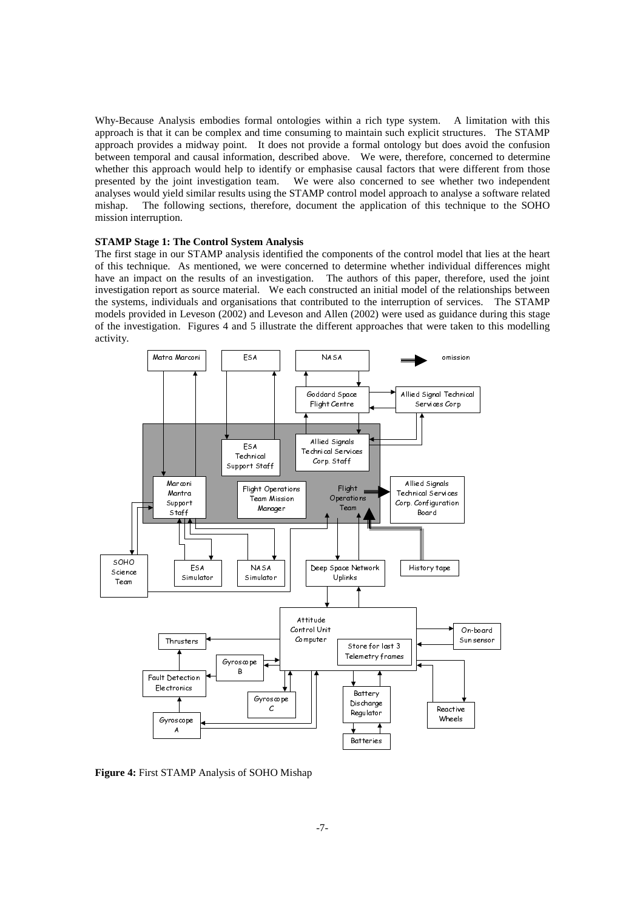Why-Because Analysis embodies formal ontologies within a rich type system. A limitation with this approach is that it can be complex and time consuming to maintain such explicit structures. The STAMP approach provides a midway point. It does not provide a formal ontology but does avoid the confusion between temporal and causal information, described above. We were, therefore, concerned to determine whether this approach would help to identify or emphasise causal factors that were different from those presented by the joint investigation team. We were also concerned to see whether two independent analyses would yield similar results using the STAMP control model approach to analyse a software related mishap. The following sections, therefore, document the application of this technique to the SOHO mission interruption.

# **STAMP Stage 1: The Control System Analysis**

The first stage in our STAMP analysis identified the components of the control model that lies at the heart of this technique. As mentioned, we were concerned to determine whether individual differences might have an impact on the results of an investigation. The authors of this paper, therefore, used the joint investigation report as source material. We each constructed an initial model of the relationships between the systems, individuals and organisations that contributed to the interruption of services. The STAMP models provided in Leveson (2002) and Leveson and Allen (2002) were used as guidance during this stage of the investigation. Figures 4 and 5 illustrate the different approaches that were taken to this modelling activity.



**Figure 4:** First STAMP Analysis of SOHO Mishap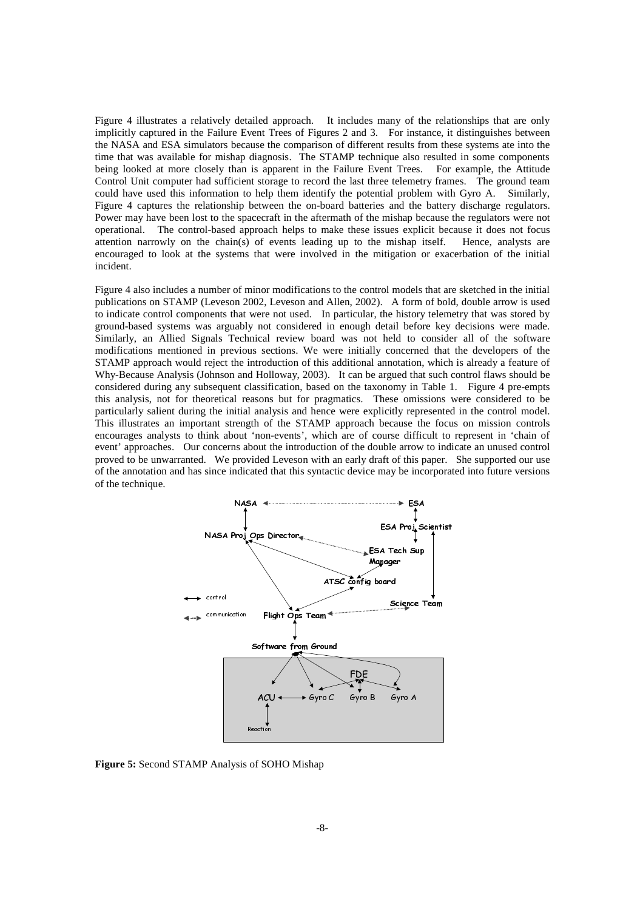Figure 4 illustrates a relatively detailed approach. It includes many of the relationships that are only implicitly captured in the Failure Event Trees of Figures 2 and 3. For instance, it distinguishes between the NASA and ESA simulators because the comparison of different results from these systems ate into the time that was available for mishap diagnosis. The STAMP technique also resulted in some components being looked at more closely than is apparent in the Failure Event Trees. For example, the Attitude Control Unit computer had sufficient storage to record the last three telemetry frames. The ground team could have used this information to help them identify the potential problem with Gyro A. Similarly, Figure 4 captures the relationship between the on-board batteries and the battery discharge regulators. Power may have been lost to the spacecraft in the aftermath of the mishap because the regulators were not operational. The control-based approach helps to make these issues explicit because it does not focus attention narrowly on the chain(s) of events leading up to the mishap itself. Hence, analysts are encouraged to look at the systems that were involved in the mitigation or exacerbation of the initial incident.

Figure 4 also includes a number of minor modifications to the control models that are sketched in the initial publications on STAMP (Leveson 2002, Leveson and Allen, 2002). A form of bold, double arrow is used to indicate control components that were not used. In particular, the history telemetry that was stored by ground-based systems was arguably not considered in enough detail before key decisions were made. Similarly, an Allied Signals Technical review board was not held to consider all of the software modifications mentioned in previous sections. We were initially concerned that the developers of the STAMP approach would reject the introduction of this additional annotation, which is already a feature of Why-Because Analysis (Johnson and Holloway, 2003). It can be argued that such control flaws should be considered during any subsequent classification, based on the taxonomy in Table 1. Figure 4 pre-empts this analysis, not for theoretical reasons but for pragmatics. These omissions were considered to be particularly salient during the initial analysis and hence were explicitly represented in the control model. This illustrates an important strength of the STAMP approach because the focus on mission controls encourages analysts to think about 'non-events', which are of course difficult to represent in 'chain of event' approaches. Our concerns about the introduction of the double arrow to indicate an unused control proved to be unwarranted. We provided Leveson with an early draft of this paper. She supported our use of the annotation and has since indicated that this syntactic device may be incorporated into future versions of the technique.



**Figure 5:** Second STAMP Analysis of SOHO Mishap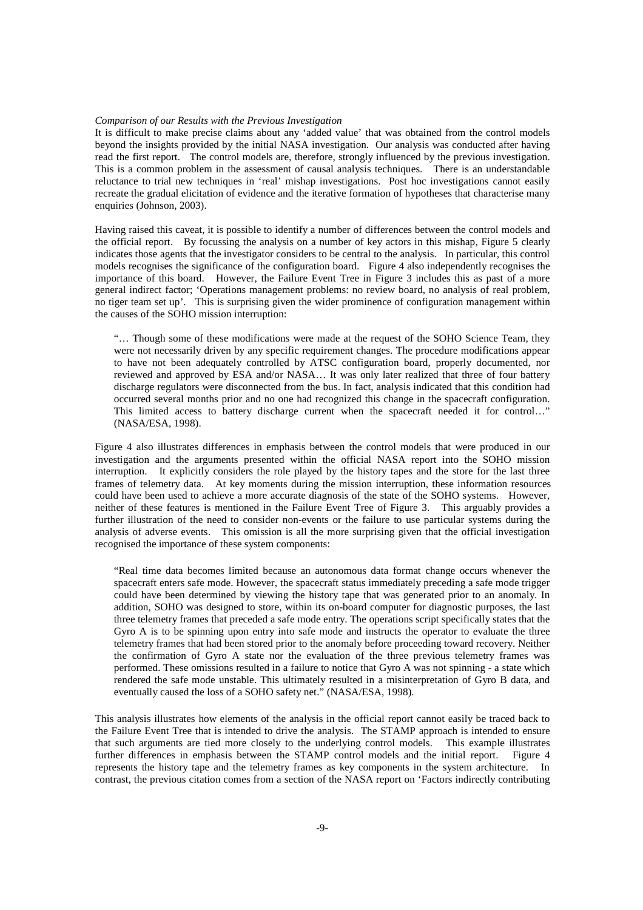#### *Comparison of our Results with the Previous Investigation*

It is difficult to make precise claims about any 'added value' that was obtained from the control models beyond the insights provided by the initial NASA investigation. Our analysis was conducted after having read the first report. The control models are, therefore, strongly influenced by the previous investigation. This is a common problem in the assessment of causal analysis techniques. There is an understandable reluctance to trial new techniques in 'real' mishap investigations. Post hoc investigations cannot easily recreate the gradual elicitation of evidence and the iterative formation of hypotheses that characterise many enquiries (Johnson, 2003).

Having raised this caveat, it is possible to identify a number of differences between the control models and the official report. By focussing the analysis on a number of key actors in this mishap, Figure 5 clearly indicates those agents that the investigator considers to be central to the analysis. In particular, this control models recognises the significance of the configuration board. Figure 4 also independently recognises the importance of this board. However, the Failure Event Tree in Figure 3 includes this as past of a more general indirect factor; 'Operations management problems: no review board, no analysis of real problem, no tiger team set up'. This is surprising given the wider prominence of configuration management within the causes of the SOHO mission interruption:

"… Though some of these modifications were made at the request of the SOHO Science Team, they were not necessarily driven by any specific requirement changes. The procedure modifications appear to have not been adequately controlled by ATSC configuration board, properly documented, nor reviewed and approved by ESA and/or NASA… It was only later realized that three of four battery discharge regulators were disconnected from the bus. In fact, analysis indicated that this condition had occurred several months prior and no one had recognized this change in the spacecraft configuration. This limited access to battery discharge current when the spacecraft needed it for control…" (NASA/ESA, 1998).

Figure 4 also illustrates differences in emphasis between the control models that were produced in our investigation and the arguments presented within the official NASA report into the SOHO mission interruption. It explicitly considers the role played by the history tapes and the store for the last three frames of telemetry data. At key moments during the mission interruption, these information resources could have been used to achieve a more accurate diagnosis of the state of the SOHO systems. However, neither of these features is mentioned in the Failure Event Tree of Figure 3. This arguably provides a further illustration of the need to consider non-events or the failure to use particular systems during the analysis of adverse events. This omission is all the more surprising given that the official investigation recognised the importance of these system components:

"Real time data becomes limited because an autonomous data format change occurs whenever the spacecraft enters safe mode. However, the spacecraft status immediately preceding a safe mode trigger could have been determined by viewing the history tape that was generated prior to an anomaly. In addition, SOHO was designed to store, within its on-board computer for diagnostic purposes, the last three telemetry frames that preceded a safe mode entry. The operations script specifically states that the Gyro A is to be spinning upon entry into safe mode and instructs the operator to evaluate the three telemetry frames that had been stored prior to the anomaly before proceeding toward recovery. Neither the confirmation of Gyro A state nor the evaluation of the three previous telemetry frames was performed. These omissions resulted in a failure to notice that Gyro A was not spinning - a state which rendered the safe mode unstable. This ultimately resulted in a misinterpretation of Gyro B data, and eventually caused the loss of a SOHO safety net." (NASA/ESA, 1998).

This analysis illustrates how elements of the analysis in the official report cannot easily be traced back to the Failure Event Tree that is intended to drive the analysis. The STAMP approach is intended to ensure that such arguments are tied more closely to the underlying control models. This example illustrates further differences in emphasis between the STAMP control models and the initial report. Figure 4 represents the history tape and the telemetry frames as key components in the system architecture. In contrast, the previous citation comes from a section of the NASA report on 'Factors indirectly contributing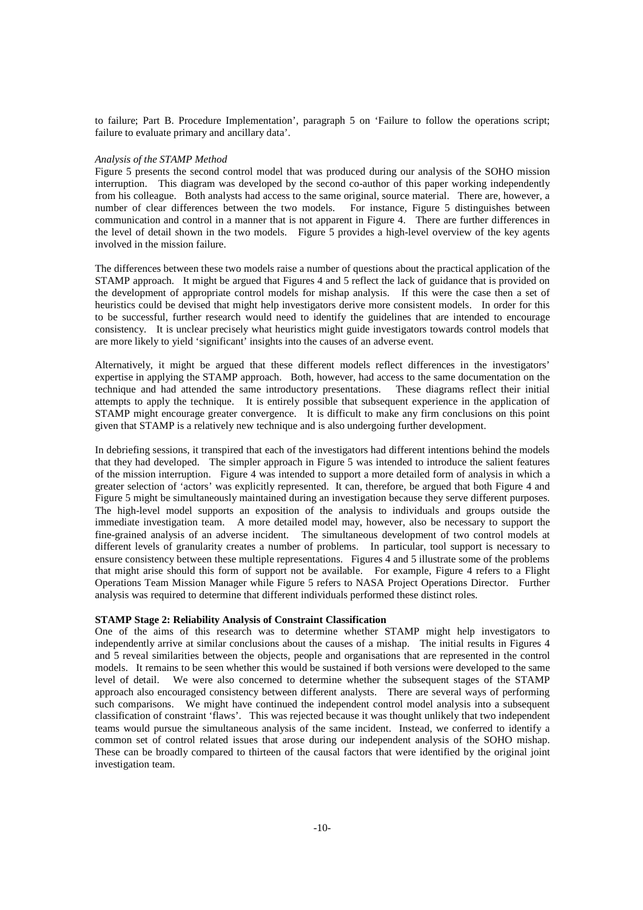to failure; Part B. Procedure Implementation', paragraph 5 on 'Failure to follow the operations script; failure to evaluate primary and ancillary data'.

#### *Analysis of the STAMP Method*

Figure 5 presents the second control model that was produced during our analysis of the SOHO mission interruption. This diagram was developed by the second co-author of this paper working independently from his colleague. Both analysts had access to the same original, source material. There are, however, a number of clear differences between the two models. For instance, Figure 5 distinguishes between communication and control in a manner that is not apparent in Figure 4. There are further differences in the level of detail shown in the two models. Figure 5 provides a high-level overview of the key agents involved in the mission failure.

The differences between these two models raise a number of questions about the practical application of the STAMP approach. It might be argued that Figures 4 and 5 reflect the lack of guidance that is provided on the development of appropriate control models for mishap analysis. If this were the case then a set of heuristics could be devised that might help investigators derive more consistent models. In order for this to be successful, further research would need to identify the guidelines that are intended to encourage consistency. It is unclear precisely what heuristics might guide investigators towards control models that are more likely to yield 'significant' insights into the causes of an adverse event.

Alternatively, it might be argued that these different models reflect differences in the investigators' expertise in applying the STAMP approach. Both, however, had access to the same documentation on the technique and had attended the same introductory presentations. These diagrams reflect their initial attempts to apply the technique. It is entirely possible that subsequent experience in the application of STAMP might encourage greater convergence. It is difficult to make any firm conclusions on this point given that STAMP is a relatively new technique and is also undergoing further development.

In debriefing sessions, it transpired that each of the investigators had different intentions behind the models that they had developed. The simpler approach in Figure 5 was intended to introduce the salient features of the mission interruption. Figure 4 was intended to support a more detailed form of analysis in which a greater selection of 'actors' was explicitly represented. It can, therefore, be argued that both Figure 4 and Figure 5 might be simultaneously maintained during an investigation because they serve different purposes. The high-level model supports an exposition of the analysis to individuals and groups outside the immediate investigation team. A more detailed model may, however, also be necessary to support the fine-grained analysis of an adverse incident. The simultaneous development of two control models at different levels of granularity creates a number of problems. In particular, tool support is necessary to ensure consistency between these multiple representations. Figures 4 and 5 illustrate some of the problems that might arise should this form of support not be available. For example, Figure 4 refers to a Flight Operations Team Mission Manager while Figure 5 refers to NASA Project Operations Director. Further analysis was required to determine that different individuals performed these distinct roles.

# **STAMP Stage 2: Reliability Analysis of Constraint Classification**

One of the aims of this research was to determine whether STAMP might help investigators to independently arrive at similar conclusions about the causes of a mishap. The initial results in Figures 4 and 5 reveal similarities between the objects, people and organisations that are represented in the control models. It remains to be seen whether this would be sustained if both versions were developed to the same level of detail. We were also concerned to determine whether the subsequent stages of the STAMP approach also encouraged consistency between different analysts. There are several ways of performing such comparisons. We might have continued the independent control model analysis into a subsequent classification of constraint 'flaws'. This was rejected because it was thought unlikely that two independent teams would pursue the simultaneous analysis of the same incident. Instead, we conferred to identify a common set of control related issues that arose during our independent analysis of the SOHO mishap. These can be broadly compared to thirteen of the causal factors that were identified by the original joint investigation team.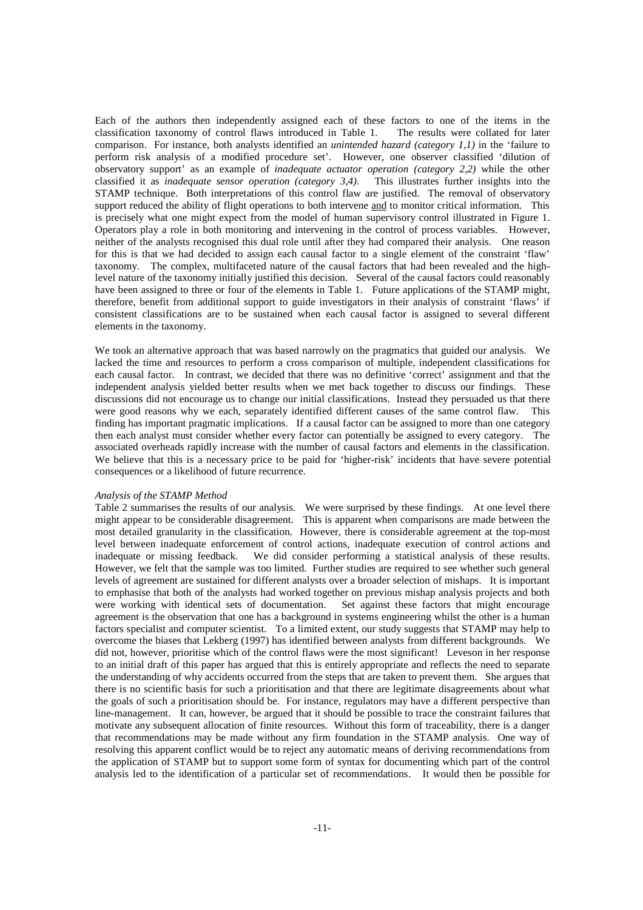Each of the authors then independently assigned each of these factors to one of the items in the classification taxonomy of control flaws introduced in Table 1. The results were collated for later comparison. For instance, both analysts identified an *unintended hazard (category 1,1)* in the 'failure to perform risk analysis of a modified procedure set'. However, one observer classified 'dilution of observatory support' as an example of *inadequate actuator operation (category 2,2)* while the other classified it as *inadequate sensor operation (category 3,4)*. This illustrates further insights into the STAMP technique. Both interpretations of this control flaw are justified. The removal of observatory support reduced the ability of flight operations to both intervene and to monitor critical information. This is precisely what one might expect from the model of human supervisory control illustrated in Figure 1. Operators play a role in both monitoring and intervening in the control of process variables. However, neither of the analysts recognised this dual role until after they had compared their analysis. One reason for this is that we had decided to assign each causal factor to a single element of the constraint 'flaw' taxonomy. The complex, multifaceted nature of the causal factors that had been revealed and the highlevel nature of the taxonomy initially justified this decision. Several of the causal factors could reasonably have been assigned to three or four of the elements in Table 1. Future applications of the STAMP might, therefore, benefit from additional support to guide investigators in their analysis of constraint 'flaws' if consistent classifications are to be sustained when each causal factor is assigned to several different elements in the taxonomy.

We took an alternative approach that was based narrowly on the pragmatics that guided our analysis. We lacked the time and resources to perform a cross comparison of multiple, independent classifications for each causal factor. In contrast, we decided that there was no definitive 'correct' assignment and that the independent analysis yielded better results when we met back together to discuss our findings. These discussions did not encourage us to change our initial classifications. Instead they persuaded us that there were good reasons why we each, separately identified different causes of the same control flaw. This finding has important pragmatic implications. If a causal factor can be assigned to more than one category then each analyst must consider whether every factor can potentially be assigned to every category. The associated overheads rapidly increase with the number of causal factors and elements in the classification. We believe that this is a necessary price to be paid for 'higher-risk' incidents that have severe potential consequences or a likelihood of future recurrence.

#### *Analysis of the STAMP Method*

Table 2 summarises the results of our analysis. We were surprised by these findings. At one level there might appear to be considerable disagreement. This is apparent when comparisons are made between the most detailed granularity in the classification. However, there is considerable agreement at the top-most level between inadequate enforcement of control actions, inadequate execution of control actions and inadequate or missing feedback. We did consider performing a statistical analysis of these results. However, we felt that the sample was too limited. Further studies are required to see whether such general levels of agreement are sustained for different analysts over a broader selection of mishaps. It is important to emphasise that both of the analysts had worked together on previous mishap analysis projects and both were working with identical sets of documentation. Set against these factors that might encourage agreement is the observation that one has a background in systems engineering whilst the other is a human factors specialist and computer scientist. To a limited extent, our study suggests that STAMP may help to overcome the biases that Lekberg (1997) has identified between analysts from different backgrounds. We did not, however, prioritise which of the control flaws were the most significant! Leveson in her response to an initial draft of this paper has argued that this is entirely appropriate and reflects the need to separate the understanding of why accidents occurred from the steps that are taken to prevent them. She argues that there is no scientific basis for such a prioritisation and that there are legitimate disagreements about what the goals of such a prioritisation should be. For instance, regulators may have a different perspective than line-management. It can, however, be argued that it should be possible to trace the constraint failures that motivate any subsequent allocation of finite resources. Without this form of traceability, there is a danger that recommendations may be made without any firm foundation in the STAMP analysis. One way of resolving this apparent conflict would be to reject any automatic means of deriving recommendations from the application of STAMP but to support some form of syntax for documenting which part of the control analysis led to the identification of a particular set of recommendations. It would then be possible for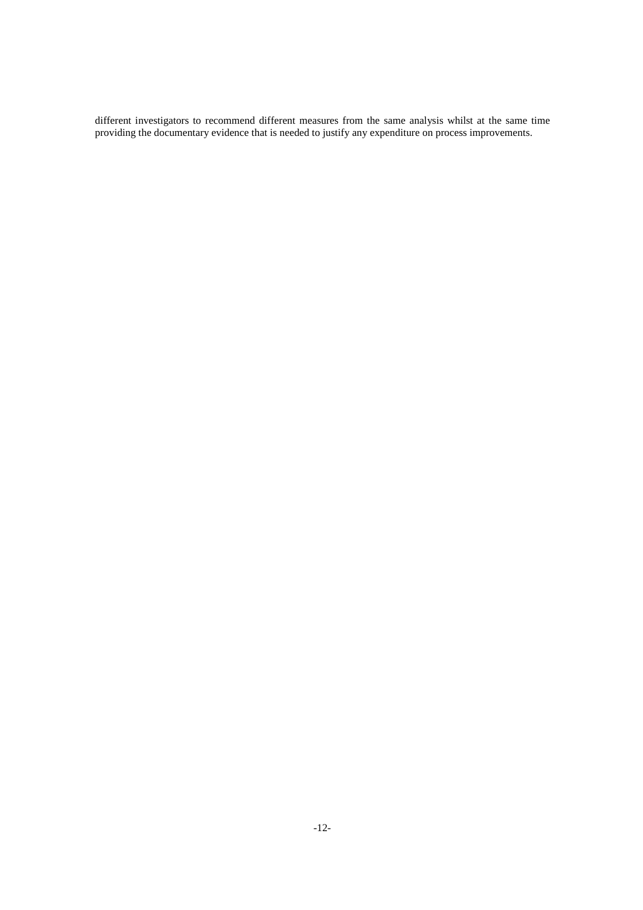different investigators to recommend different measures from the same analysis whilst at the same time providing the documentary evidence that is needed to justify any expenditure on process improvements.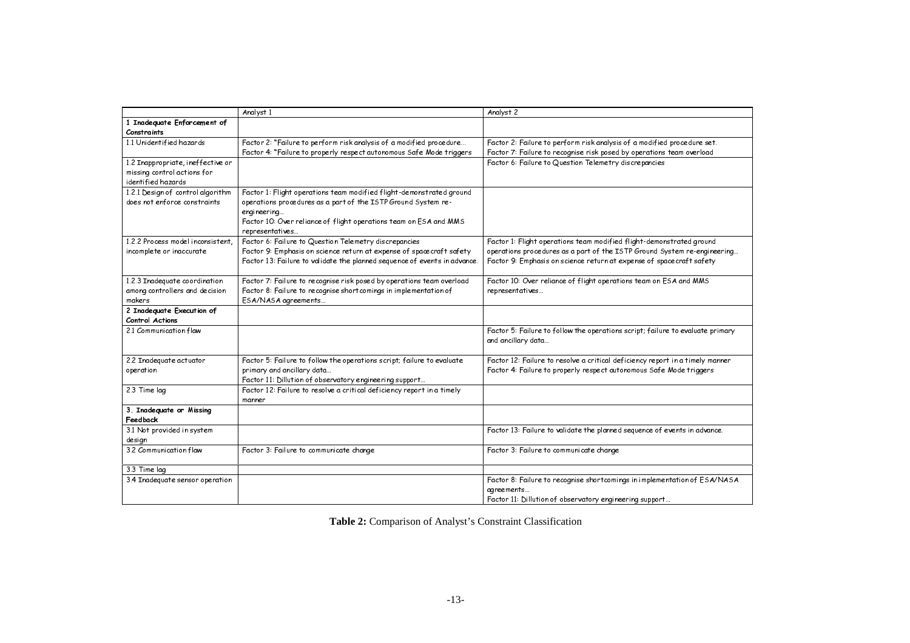|                                   | Analyst 1                                                                 | Analyst 2                                                                      |
|-----------------------------------|---------------------------------------------------------------------------|--------------------------------------------------------------------------------|
| 1 Inadequate Enforcement of       |                                                                           |                                                                                |
| Constraints                       |                                                                           |                                                                                |
| 1.1 Unidentified hazards          | Factor 2: "Failure to perform risk analysis of a modified procedure       | Factor 2: Failure to perform risk analysis of a modified procedure set.        |
|                                   | Factor 4: "Failure to properly respect autonomous Safe Mode triggers      | Factor 7: Failure to recognise risk posed by operations team overload          |
| 1.2 Inappropriate, ineffective or |                                                                           | Factor 6: Failure to Question Telemetry discrepancies                          |
| missing control actions for       |                                                                           |                                                                                |
| identified hazards                |                                                                           |                                                                                |
| 1.2.1 Design of control algorithm | Factor 1: Flight operations team modified flight-demonstrated ground      |                                                                                |
| does not enforce constraints      | operations procedures as a part of the ISTP Ground System re-             |                                                                                |
|                                   | engineering                                                               |                                                                                |
|                                   | Factor 10: Over reliance of flight operations team on ESA and MMS         |                                                                                |
|                                   | representatives.                                                          |                                                                                |
| 1.2.2 Process model inconsistent. | Factor 6: Failure to Question Telemetry discrepancies                     | Factor 1: Flight operations team modified flight-demonstrated ground           |
| incomplete or inaccurate          | Factor 9: Emphasis on science return at expense of spacecraft safety      | operations procedures as a part of the ISTP Ground System re-engineering       |
|                                   | Factor 13: Failure to validate the planned sequence of events in advance. | Factor 9: Emphasis on science return at expense of spacecraft safety           |
|                                   |                                                                           |                                                                                |
| 1.2.3 Inadequate coordination     | Factor 7: Failure to recognise risk posed by operations team overload     | Factor 10: Over reliance of flight operations team on ESA and MMS              |
| among controllers and decision    | Factor 8: Failure to recognise shortcomings in implementation of          | representatives                                                                |
| makers                            | ESA/NASA agreements                                                       |                                                                                |
| 2 Inadeguate Execution of         |                                                                           |                                                                                |
| <b>Control Actions</b>            |                                                                           |                                                                                |
| 2.1 Communication flaw            |                                                                           | Factor 5: Failure to follow the operations script; failure to evaluate primary |
|                                   |                                                                           | and ancillary data                                                             |
|                                   |                                                                           |                                                                                |
| 2.2 Inadequate actuator           | Factor 5: Failure to follow the operations script; failure to evaluate    | Factor 12: Failure to resolve a critical deficiency report in a timely manner  |
| operation                         | primary and ancillary data                                                | Factor 4: Failure to properly respect autonomous Safe Mode triggers            |
|                                   | Factor 11: Dillution of observatory engineering support                   |                                                                                |
| 2.3 Time lag                      | Factor 12: Failure to resolve a critical deficiency report in a timely    |                                                                                |
|                                   | manner                                                                    |                                                                                |
| 3. Inadequate or Missing          |                                                                           |                                                                                |
| Feedback                          |                                                                           |                                                                                |
| 3.1 Not provided in system        |                                                                           | Factor 13: Failure to validate the planned sequence of events in advance.      |
| design<br>3.2 Communication flaw  | Factor 3: Failure to communicate change                                   | Factor 3: Failure to communicate change                                        |
|                                   |                                                                           |                                                                                |
| 3.3 Time lag                      |                                                                           |                                                                                |
| 3.4 Inadequate sensor operation   |                                                                           | Factor 8: Failure to recognise shortcomings in implementation of ESA/NASA      |
|                                   |                                                                           | agreements                                                                     |
|                                   |                                                                           | Factor 11: Dillution of observatory engineering support                        |

**Table 2:** Comparison of Analyst's Constraint Classification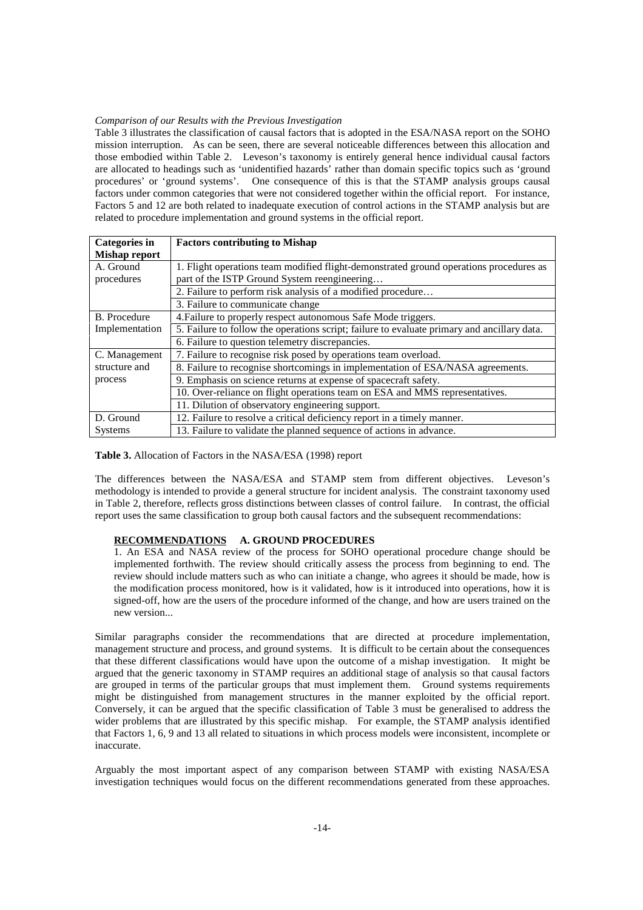# *Comparison of our Results with the Previous Investigation*

Table 3 illustrates the classification of causal factors that is adopted in the ESA/NASA report on the SOHO mission interruption. As can be seen, there are several noticeable differences between this allocation and those embodied within Table 2. Leveson's taxonomy is entirely general hence individual causal factors are allocated to headings such as 'unidentified hazards' rather than domain specific topics such as 'ground procedures' or 'ground systems'. One consequence of this is that the STAMP analysis groups causal factors under common categories that were not considered together within the official report. For instance, Factors 5 and 12 are both related to inadequate execution of control actions in the STAMP analysis but are related to procedure implementation and ground systems in the official report.

| <b>Categories in</b> | <b>Factors contributing to Mishap</b>                                                       |  |  |
|----------------------|---------------------------------------------------------------------------------------------|--|--|
| <b>Mishap report</b> |                                                                                             |  |  |
| A. Ground            | 1. Flight operations team modified flight-demonstrated ground operations procedures as      |  |  |
| procedures           | part of the ISTP Ground System reengineering                                                |  |  |
|                      | 2. Failure to perform risk analysis of a modified procedure                                 |  |  |
|                      | 3. Failure to communicate change                                                            |  |  |
| B. Procedure         | 4. Failure to properly respect autonomous Safe Mode triggers.                               |  |  |
| Implementation       | 5. Failure to follow the operations script; failure to evaluate primary and ancillary data. |  |  |
|                      | 6. Failure to question telemetry discrepancies.                                             |  |  |
| C. Management        | 7. Failure to recognise risk posed by operations team overload.                             |  |  |
| structure and        | 8. Failure to recognise shortcomings in implementation of ESA/NASA agreements.              |  |  |
| process              | 9. Emphasis on science returns at expense of spacecraft safety.                             |  |  |
|                      | 10. Over-reliance on flight operations team on ESA and MMS representatives.                 |  |  |
|                      | 11. Dilution of observatory engineering support.                                            |  |  |
| D. Ground            | 12. Failure to resolve a critical deficiency report in a timely manner.                     |  |  |
| <b>Systems</b>       | 13. Failure to validate the planned sequence of actions in advance.                         |  |  |

# **Table 3.** Allocation of Factors in the NASA/ESA (1998) report

The differences between the NASA/ESA and STAMP stem from different objectives. Leveson's methodology is intended to provide a general structure for incident analysis. The constraint taxonomy used in Table 2, therefore, reflects gross distinctions between classes of control failure. In contrast, the official report uses the same classification to group both causal factors and the subsequent recommendations:

## **RECOMMENDATIONS A. GROUND PROCEDURES**

1. An ESA and NASA review of the process for SOHO operational procedure change should be implemented forthwith. The review should critically assess the process from beginning to end. The review should include matters such as who can initiate a change, who agrees it should be made, how is the modification process monitored, how is it validated, how is it introduced into operations, how it is signed-off, how are the users of the procedure informed of the change, and how are users trained on the new version...

Similar paragraphs consider the recommendations that are directed at procedure implementation, management structure and process, and ground systems. It is difficult to be certain about the consequences that these different classifications would have upon the outcome of a mishap investigation. It might be argued that the generic taxonomy in STAMP requires an additional stage of analysis so that causal factors are grouped in terms of the particular groups that must implement them. Ground systems requirements might be distinguished from management structures in the manner exploited by the official report. Conversely, it can be argued that the specific classification of Table 3 must be generalised to address the wider problems that are illustrated by this specific mishap. For example, the STAMP analysis identified that Factors 1, 6, 9 and 13 all related to situations in which process models were inconsistent, incomplete or inaccurate.

Arguably the most important aspect of any comparison between STAMP with existing NASA/ESA investigation techniques would focus on the different recommendations generated from these approaches.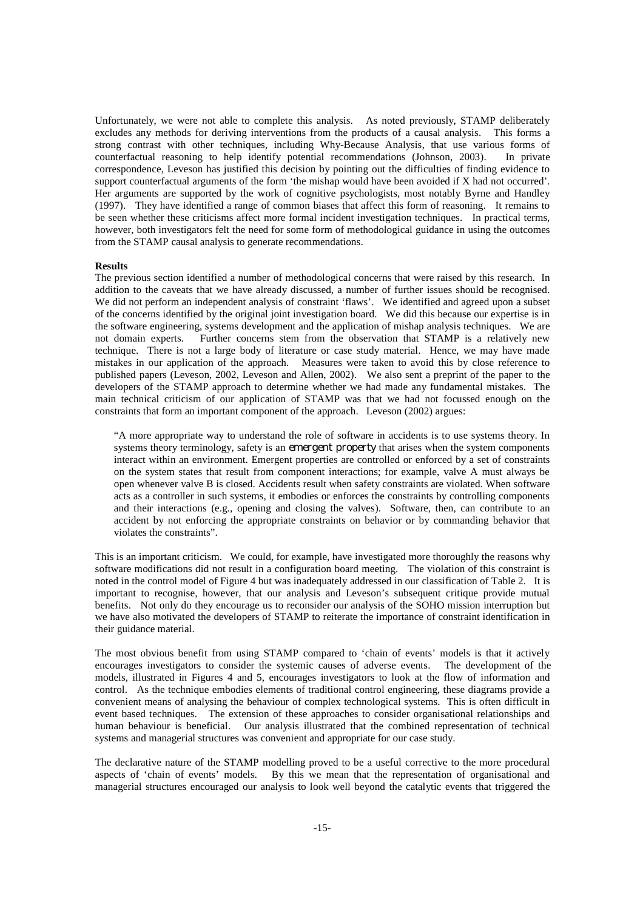Unfortunately, we were not able to complete this analysis. As noted previously, STAMP deliberately excludes any methods for deriving interventions from the products of a causal analysis. This forms a strong contrast with other techniques, including Why-Because Analysis, that use various forms of counterfactual reasoning to help identify potential recommendations (Johnson, 2003). In private correspondence, Leveson has justified this decision by pointing out the difficulties of finding evidence to support counterfactual arguments of the form 'the mishap would have been avoided if X had not occurred'. Her arguments are supported by the work of cognitive psychologists, most notably Byrne and Handley (1997). They have identified a range of common biases that affect this form of reasoning. It remains to be seen whether these criticisms affect more formal incident investigation techniques. In practical terms, however, both investigators felt the need for some form of methodological guidance in using the outcomes from the STAMP causal analysis to generate recommendations.

#### **Results**

The previous section identified a number of methodological concerns that were raised by this research. In addition to the caveats that we have already discussed, a number of further issues should be recognised. We did not perform an independent analysis of constraint 'flaws'. We identified and agreed upon a subset of the concerns identified by the original joint investigation board. We did this because our expertise is in the software engineering, systems development and the application of mishap analysis techniques. We are not domain experts. Further concerns stem from the observation that STAMP is a relatively new technique. There is not a large body of literature or case study material. Hence, we may have made mistakes in our application of the approach. Measures were taken to avoid this by close reference to published papers (Leveson, 2002, Leveson and Allen, 2002). We also sent a preprint of the paper to the developers of the STAMP approach to determine whether we had made any fundamental mistakes. The main technical criticism of our application of STAMP was that we had not focussed enough on the constraints that form an important component of the approach. Leveson (2002) argues:

"A more appropriate way to understand the role of software in accidents is to use systems theory. In systems theory terminology, safety is an *emergent property* that arises when the system components interact within an environment. Emergent properties are controlled or enforced by a set of constraints on the system states that result from component interactions; for example, valve A must always be open whenever valve B is closed. Accidents result when safety constraints are violated. When software acts as a controller in such systems, it embodies or enforces the constraints by controlling components and their interactions (e.g., opening and closing the valves). Software, then, can contribute to an accident by not enforcing the appropriate constraints on behavior or by commanding behavior that violates the constraints".

This is an important criticism. We could, for example, have investigated more thoroughly the reasons why software modifications did not result in a configuration board meeting. The violation of this constraint is noted in the control model of Figure 4 but was inadequately addressed in our classification of Table 2. It is important to recognise, however, that our analysis and Leveson's subsequent critique provide mutual benefits. Not only do they encourage us to reconsider our analysis of the SOHO mission interruption but we have also motivated the developers of STAMP to reiterate the importance of constraint identification in their guidance material.

The most obvious benefit from using STAMP compared to 'chain of events' models is that it actively encourages investigators to consider the systemic causes of adverse events. The development of the models, illustrated in Figures 4 and 5, encourages investigators to look at the flow of information and control. As the technique embodies elements of traditional control engineering, these diagrams provide a convenient means of analysing the behaviour of complex technological systems. This is often difficult in event based techniques. The extension of these approaches to consider organisational relationships and human behaviour is beneficial. Our analysis illustrated that the combined representation of technical systems and managerial structures was convenient and appropriate for our case study.

The declarative nature of the STAMP modelling proved to be a useful corrective to the more procedural aspects of 'chain of events' models. By this we mean that the representation of organisational and managerial structures encouraged our analysis to look well beyond the catalytic events that triggered the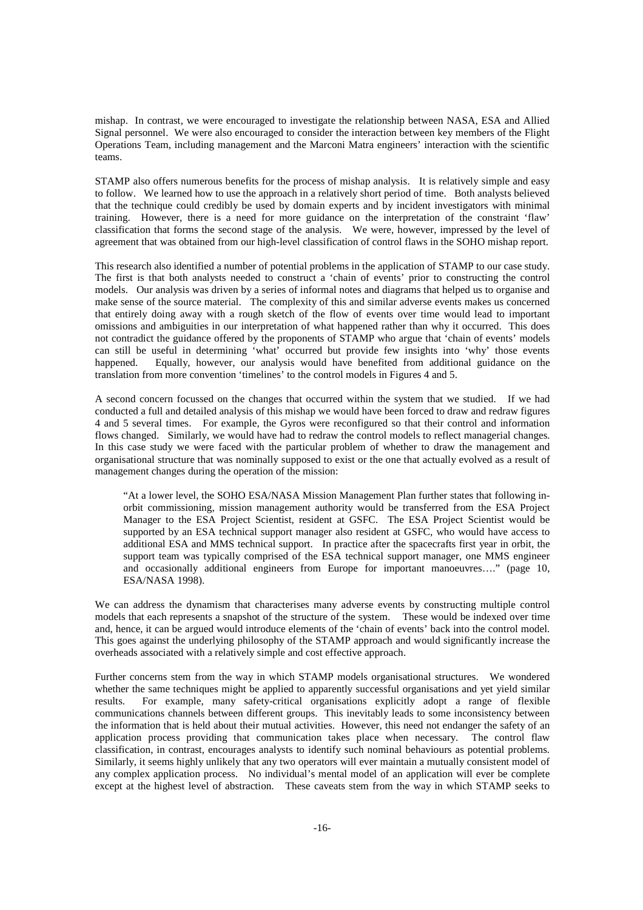mishap. In contrast, we were encouraged to investigate the relationship between NASA, ESA and Allied Signal personnel. We were also encouraged to consider the interaction between key members of the Flight Operations Team, including management and the Marconi Matra engineers' interaction with the scientific teams.

STAMP also offers numerous benefits for the process of mishap analysis. It is relatively simple and easy to follow. We learned how to use the approach in a relatively short period of time. Both analysts believed that the technique could credibly be used by domain experts and by incident investigators with minimal training. However, there is a need for more guidance on the interpretation of the constraint 'flaw' classification that forms the second stage of the analysis. We were, however, impressed by the level of agreement that was obtained from our high-level classification of control flaws in the SOHO mishap report.

This research also identified a number of potential problems in the application of STAMP to our case study. The first is that both analysts needed to construct a 'chain of events' prior to constructing the control models. Our analysis was driven by a series of informal notes and diagrams that helped us to organise and make sense of the source material. The complexity of this and similar adverse events makes us concerned that entirely doing away with a rough sketch of the flow of events over time would lead to important omissions and ambiguities in our interpretation of what happened rather than why it occurred. This does not contradict the guidance offered by the proponents of STAMP who argue that 'chain of events' models can still be useful in determining 'what' occurred but provide few insights into 'why' those events happened. Equally, however, our analysis would have benefited from additional guidance on the translation from more convention 'timelines' to the control models in Figures 4 and 5.

A second concern focussed on the changes that occurred within the system that we studied. If we had conducted a full and detailed analysis of this mishap we would have been forced to draw and redraw figures 4 and 5 several times. For example, the Gyros were reconfigured so that their control and information flows changed. Similarly, we would have had to redraw the control models to reflect managerial changes. In this case study we were faced with the particular problem of whether to draw the management and organisational structure that was nominally supposed to exist or the one that actually evolved as a result of management changes during the operation of the mission:

"At a lower level, the SOHO ESA/NASA Mission Management Plan further states that following inorbit commissioning, mission management authority would be transferred from the ESA Project Manager to the ESA Project Scientist, resident at GSFC. The ESA Project Scientist would be supported by an ESA technical support manager also resident at GSFC, who would have access to additional ESA and MMS technical support. In practice after the spacecrafts first year in orbit, the support team was typically comprised of the ESA technical support manager, one MMS engineer and occasionally additional engineers from Europe for important manoeuvres…." (page 10, ESA/NASA 1998).

We can address the dynamism that characterises many adverse events by constructing multiple control models that each represents a snapshot of the structure of the system. These would be indexed over time and, hence, it can be argued would introduce elements of the 'chain of events' back into the control model. This goes against the underlying philosophy of the STAMP approach and would significantly increase the overheads associated with a relatively simple and cost effective approach.

Further concerns stem from the way in which STAMP models organisational structures. We wondered whether the same techniques might be applied to apparently successful organisations and yet yield similar results. For example, many safety-critical organisations explicitly adopt a range of flexible communications channels between different groups. This inevitably leads to some inconsistency between the information that is held about their mutual activities. However, this need not endanger the safety of an application process providing that communication takes place when necessary. The control flaw classification, in contrast, encourages analysts to identify such nominal behaviours as potential problems. Similarly, it seems highly unlikely that any two operators will ever maintain a mutually consistent model of any complex application process. No individual's mental model of an application will ever be complete except at the highest level of abstraction. These caveats stem from the way in which STAMP seeks to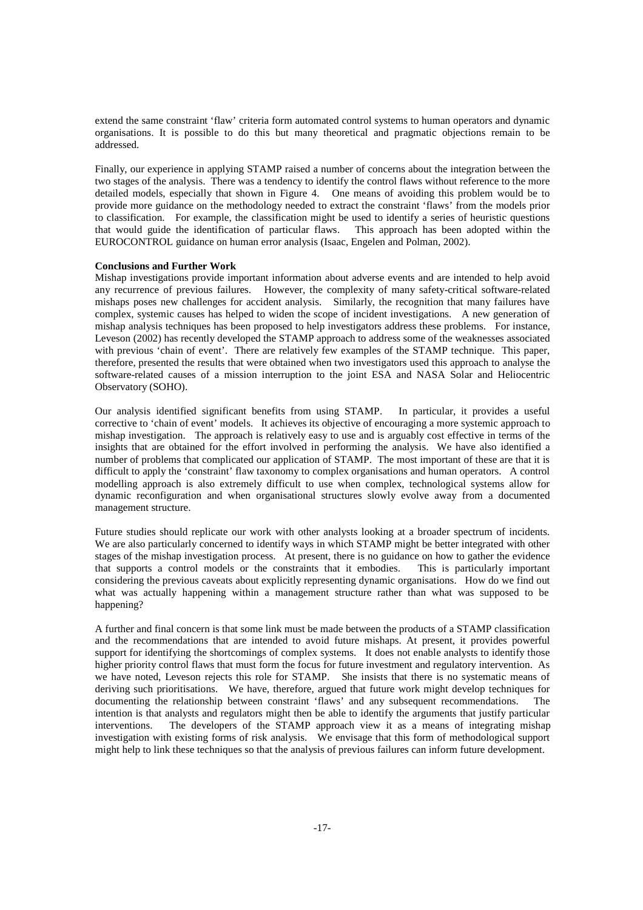extend the same constraint 'flaw' criteria form automated control systems to human operators and dynamic organisations. It is possible to do this but many theoretical and pragmatic objections remain to be addressed.

Finally, our experience in applying STAMP raised a number of concerns about the integration between the two stages of the analysis. There was a tendency to identify the control flaws without reference to the more detailed models, especially that shown in Figure 4. One means of avoiding this problem would be to provide more guidance on the methodology needed to extract the constraint 'flaws' from the models prior to classification. For example, the classification might be used to identify a series of heuristic questions that would guide the identification of particular flaws. This approach has been adopted within the EUROCONTROL guidance on human error analysis (Isaac, Engelen and Polman, 2002).

## **Conclusions and Further Work**

Mishap investigations provide important information about adverse events and are intended to help avoid any recurrence of previous failures. However, the complexity of many safety-critical software-related mishaps poses new challenges for accident analysis. Similarly, the recognition that many failures have complex, systemic causes has helped to widen the scope of incident investigations. A new generation of mishap analysis techniques has been proposed to help investigators address these problems. For instance, Leveson (2002) has recently developed the STAMP approach to address some of the weaknesses associated with previous 'chain of event'. There are relatively few examples of the STAMP technique. This paper, therefore, presented the results that were obtained when two investigators used this approach to analyse the software-related causes of a mission interruption to the joint ESA and NASA Solar and Heliocentric Observatory (SOHO).

Our analysis identified significant benefits from using STAMP. In particular, it provides a useful corrective to 'chain of event' models. It achieves its objective of encouraging a more systemic approach to mishap investigation. The approach is relatively easy to use and is arguably cost effective in terms of the insights that are obtained for the effort involved in performing the analysis. We have also identified a number of problems that complicated our application of STAMP. The most important of these are that it is difficult to apply the 'constraint' flaw taxonomy to complex organisations and human operators. A control modelling approach is also extremely difficult to use when complex, technological systems allow for dynamic reconfiguration and when organisational structures slowly evolve away from a documented management structure.

Future studies should replicate our work with other analysts looking at a broader spectrum of incidents. We are also particularly concerned to identify ways in which STAMP might be better integrated with other stages of the mishap investigation process. At present, there is no guidance on how to gather the evidence that supports a control models or the constraints that it embodies. This is particularly important considering the previous caveats about explicitly representing dynamic organisations. How do we find out what was actually happening within a management structure rather than what was supposed to be happening?

A further and final concern is that some link must be made between the products of a STAMP classification and the recommendations that are intended to avoid future mishaps. At present, it provides powerful support for identifying the shortcomings of complex systems. It does not enable analysts to identify those higher priority control flaws that must form the focus for future investment and regulatory intervention. As we have noted, Leveson rejects this role for STAMP. She insists that there is no systematic means of deriving such prioritisations. We have, therefore, argued that future work might develop techniques for documenting the relationship between constraint 'flaws' and any subsequent recommendations. The intention is that analysts and regulators might then be able to identify the arguments that justify particular interventions. The developers of the STAMP approach view it as a means of integrating mishap investigation with existing forms of risk analysis. We envisage that this form of methodological support might help to link these techniques so that the analysis of previous failures can inform future development.